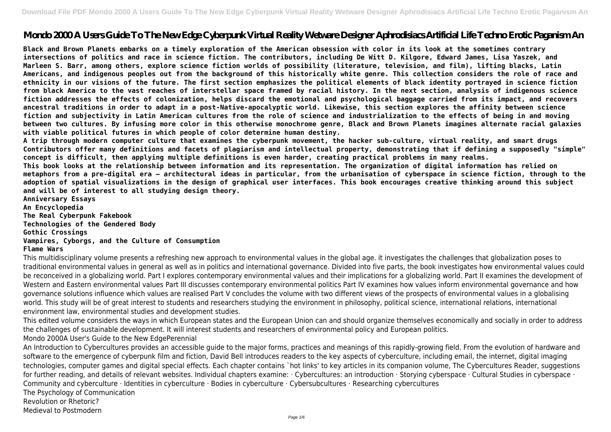# **Mondo 2000 A Users Guide To The New Edge Cyberpunk Virtual Reality Wetware Designer Aphrodisiacs Artificial Life Techno Erotic Paganism An**

**Black and Brown Planets embarks on a timely exploration of the American obsession with color in its look at the sometimes contrary intersections of politics and race in science fiction. The contributors, including De Witt D. Kilgore, Edward James, Lisa Yaszek, and Marleen S. Barr, among others, explore science fiction worlds of possibility (literature, television, and film), lifting blacks, Latin Americans, and indigenous peoples out from the background of this historically white genre. This collection considers the role of race and ethnicity in our visions of the future. The first section emphasizes the political elements of black identity portrayed in science fiction from black America to the vast reaches of interstellar space framed by racial history. In the next section, analysis of indigenous science fiction addresses the effects of colonization, helps discard the emotional and psychological baggage carried from its impact, and recovers ancestral traditions in order to adapt in a post-Native-apocalyptic world. Likewise, this section explores the affinity between science fiction and subjectivity in Latin American cultures from the role of science and industrialization to the effects of being in and moving between two cultures. By infusing more color in this otherwise monochrome genre, Black and Brown Planets imagines alternate racial galaxies with viable political futures in which people of color determine human destiny.**

**A trip through modern computer culture that examines the cyberpunk movement, the hacker sub-culture, virtual reality, and smart drugs Contributors offer many definitions and facets of plagiarism and intellectual property, demonstrating that if defining a supposedly "simple" concept is difficult, then applying multiple definitions is even harder, creating practical problems in many realms. This book looks at the relationship between information and its representation. The organization of digital information has relied on metaphors from a pre-digital era – architectural ideas in particular, from the urbanisation of cyberspace in science fiction, through to the adoption of spatial visualizations in the design of graphical user interfaces. This book encourages creative thinking around this subject and will be of interest to all studying design theory.**

**Anniversary Essays An Encyclopedia The Real Cyberpunk Fakebook Technologies of the Gendered Body Gothic Crossings Vampires, Cyborgs, and the Culture of Consumption Flame Wars**

This multidisciplinary volume presents a refreshing new approach to environmental values in the global age. it investigates the challenges that globalization poses to traditional environmental values in general as well as in politics and international governance. Divided into five parts, the book investigates how environmental values could be reconceived in a globalizing world. Part I explores contemporary environmental values and their implications for a globalizing world. Part II examines the development of Western and Eastern environmental values Part III discusses contemporary environmental politics Part IV examines how values inform environmental governance and how governance solutions influence which values are realised Part V concludes the volume with two different views of the prospects of environmental values in a globalising world. This study will be of great interest to students and researchers studying the environment in philosophy, political science, international relations, international environment law, environmental studies and development studies.

This edited volume considers the ways in which European states and the European Union can and should organize themselves economically and socially in order to address the challenges of sustainable development. It will interest students and researchers of environmental policy and European politics. Mondo 2000A User's Guide to the New EdgePerennial

An Introduction to Cybercultures provides an accessible guide to the major forms, practices and meanings of this rapidly-growing field. From the evolution of hardware and software to the emergence of cyberpunk film and fiction, David Bell introduces readers to the key aspects of cyberculture, including email, the internet, digital imaging technologies, computer games and digital special effects. Each chapter contains `hot links' to key articles in its companion volume, The Cybercultures Reader, suggestions for further reading, and details of relevant websites. Individual chapters examine: · Cybercultures: an introduction · Storying cyberspace · Cultural Studies in cyberspace · Community and cyberculture · Identities in cyberculture · Bodies in cyberculture · Cybersubcultures · Researching cybercultures The Psychology of Communication

Revolution or Rhetoric?

Medieval to Postmodern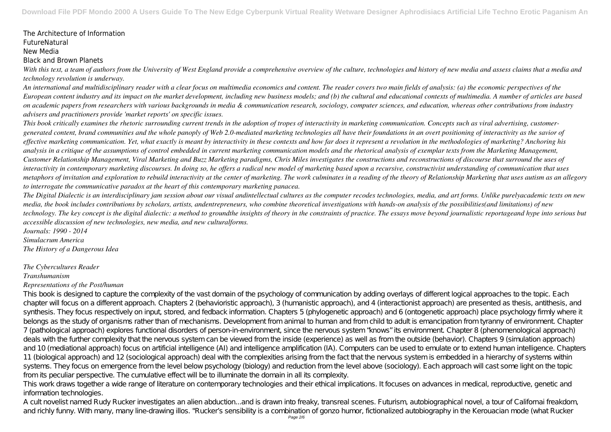## The Architecture of Information FutureNatural New Media Black and Brown Planets

*With this text, a team of authors from the University of West England provide a comprehensive overview of the culture, technologies and history of new media and assess claims that a media and technology revolution is underway.*

*An international and multidisciplinary reader with a clear focus on multimedia economics and content. The reader covers two main fields of analysis: (a) the economic perspectives of the European content industry and its impact on the market development, including new business models; and (b) the cultural and educational contexts of multimedia. A number of articles are based on academic papers from researchers with various backgrounds in media & communication research, sociology, computer sciences, and education, whereas other contributions from industry advisers and practitioners provide 'market reports' on specific issues.*

*This book critically examines the rhetoric surrounding current trends in the adoption of tropes of interactivity in marketing communication. Concepts such as viral advertising, customergenerated content, brand communities and the whole panoply of Web 2.0-mediated marketing technologies all have their foundations in an overt positioning of interactivity as the savior of effective marketing communication. Yet, what exactly is meant by interactivity in these contexts and how far does it represent a revolution in the methodologies of marketing? Anchoring his analysis in a critique of the assumptions of control embedded in current marketing communication models and the rhetorical analysis of exemplar texts from the Marketing Management, Customer Relationship Management, Viral Marketing and Buzz Marketing paradigms, Chris Miles investigates the constructions and reconstructions of discourse that surround the uses of interactivity in contemporary marketing discourses. In doing so, he offers a radical new model of marketing based upon a recursive, constructivist understanding of communication that uses metaphors of invitation and exploration to rebuild interactivity at the center of marketing. The work culminates in a reading of the theory of Relationship Marketing that uses autism as an allegory to interrogate the communicative paradox at the heart of this contemporary marketing panacea.*

*The Digital Dialectic is an interdisciplinary jam session about our visual andintellectual cultures as the computer recodes technologies, media, and art forms. Unlike purelyacademic texts on new media, the book includes contributions by scholars, artists, andentrepreneurs, who combine theoretical investigations with hands-on analysis of the possibilities(and limitations) of new technology. The key concept is the digital dialectic: a method to groundthe insights of theory in the constraints of practice. The essays move beyond journalistic reportageand hype into serious but accessible discussion of new technologies, new media, and new culturalforms.*

*Journals: 1990 - 2014 Simulacrum America The History of a Dangerous Idea*

### *The Cybercultures Reader*

### *Transhumanism*

### *Representations of the Post/human*

This book is designed to capture the complexity of the vast domain of the psychology of communication by adding overlays of different logical approaches to the topic. Each chapter will focus on a different approach. Chapters 2 (behavioristic approach), 3 (humanistic approach), and 4 (interactionist approach) are presented as thesis, antithesis, and synthesis. They focus respectively on input, stored, and fedback information. Chapters 5 (phylogenetic approach) and 6 (ontogenetic approach) place psychology firmly where it belongs as the study of organisms rather than of mechanisms. Development from animal to human and from child to adult is emancipation from tyranny of environment. Chapter 7 (pathological approach) explores functional disorders of person-in-environment, since the nervous system "knows" its environment. Chapter 8 (phenomenological approach) deals with the further complexity that the nervous system can be viewed from the inside (experience) as well as from the outside (behavior). Chapters 9 (simulation approach) and 10 (mediational approach) focus on artificial intelligence (AI) and intelligence amplification (IA). Computers can be used to emulate or to extend human intelligence. Chapters 11 (biological approach) and 12 (sociological approach) deal with the complexities arising from the fact that the nervous system is embedded in a hierarchy of systems within systems. They focus on emergence from the level below psychology (biology) and reduction from the level above (sociology). Each approach will cast some light on the topic from its peculiar perspective. The cumulative effect will be to illuminate the domain in all its complexity.

This work draws together a wide range of literature on contemporary technologies and their ethical implications. It focuses on advances in medical, reproductive, genetic and information technologies.

A cult novelist named Rudy Rucker investigates an alien abduction...and is drawn into freaky, transreal scenes. Futurism, autobiographical novel, a tour of Californai freakdom, and richly funny. With many, many line-drawing illos. "Rucker's sensibility is a combination of gonzo humor, fictionalized autobiography in the Kerouacian mode (what Rucker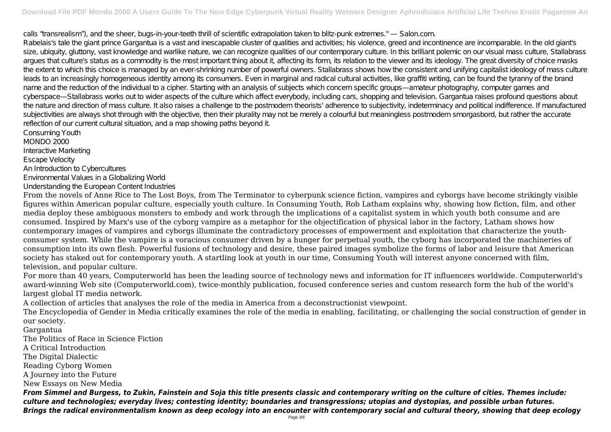calls "transrealism"), and the sheer, bugs-in-your-teeth thrill of scientific extrapolation taken to blitz-punk extremes." — Salon.com. Rabelais's tale the giant prince Gargantua is a vast and inescapable cluster of qualities and activities; his violence, greed and incontinence are incomparable. In the old giant's size, ubiquity, gluttony, vast knowledge and warlike nature, we can recognize qualities of our contemporary culture. In this brilliant polemic on our visual mass culture, Stallabrass argues that culture's status as a commodity is the most important thing about it, affecting its form, its relation to the viewer and its ideology. The great diversity of choice masks the extent to which this choice is managed by an ever-shrinking number of powerful owners. Stallabrass shows how the consistent and unifying capitalist ideology of mass culture leads to an increasingly homogeneous identity among its consumers. Even in marginal and radical cultural activities, like graffiti writing, can be found the tyranny of the brand name and the reduction of the individual to a cipher. Starting with an analysis of subjects which concern specific groups—amateur photography, computer games and cyberspace—Stallabrass works out to wider aspects of the culture which affect everybody, including cars, shopping and television. Gargantua raises profound questions about the nature and direction of mass culture. It also raises a challenge to the postmodern theorists' adherence to subjectivity, indeterminacy and political indifference. If manufactured subjectivities are always shot through with the objective, then their plurality may not be merely a colourful but meaningless postmodern smorgasbord, but rather the accurate reflection of our current cultural situation, and a map showing paths beyond it.

Consuming Youth MONDO 2000 Interactive Marketing Escape Velocity An Introduction to Cybercultures Environmental Values in a Globalizing World Understanding the European Content Industries

From the novels of Anne Rice to The Lost Boys, from The Terminator to cyberpunk science fiction, vampires and cyborgs have become strikingly visible figures within American popular culture, especially youth culture. In Consuming Youth, Rob Latham explains why, showing how fiction, film, and other media deploy these ambiguous monsters to embody and work through the implications of a capitalist system in which youth both consume and are consumed. Inspired by Marx's use of the cyborg vampire as a metaphor for the objectification of physical labor in the factory, Latham shows how contemporary images of vampires and cyborgs illuminate the contradictory processes of empowerment and exploitation that characterize the youthconsumer system. While the vampire is a voracious consumer driven by a hunger for perpetual youth, the cyborg has incorporated the machineries of consumption into its own flesh. Powerful fusions of technology and desire, these paired images symbolize the forms of labor and leisure that American society has staked out for contemporary youth. A startling look at youth in our time, Consuming Youth will interest anyone concerned with film, television, and popular culture.

For more than 40 years, Computerworld has been the leading source of technology news and information for IT influencers worldwide. Computerworld's award-winning Web site (Computerworld.com), twice-monthly publication, focused conference series and custom research form the hub of the world's largest global IT media network.

A collection of articles that analyses the role of the media in America from a deconstructionist viewpoint.

The Encyclopedia of Gender in Media critically examines the role of the media in enabling, facilitating, or challenging the social construction of gender in our society.

Gargantua

The Politics of Race in Science Fiction

A Critical Introduction

The Digital Dialectic

Reading Cyborg Women

A Journey into the Future

New Essays on New Media

*From Simmel and Burgess, to Zukin, Fainstein and Soja this title presents classic and contemporary writing on the culture of cities. Themes include: culture and technologies; everyday lives; contesting identity; boundaries and transgressions; utopias and dystopias, and possible urban futures. Brings the radical environmentalism known as deep ecology into an encounter with contemporary social and cultural theory, showing that deep ecology*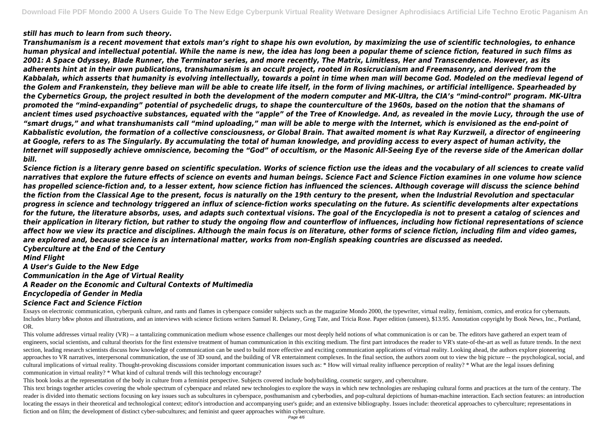#### *still has much to learn from such theory.*

*Transhumanism is a recent movement that extols man's right to shape his own evolution, by maximizing the use of scientific technologies, to enhance human physical and intellectual potential. While the name is new, the idea has long been a popular theme of science fiction, featured in such films as 2001: A Space Odyssey, Blade Runner, the Terminator series, and more recently, The Matrix, Limitless, Her and Transcendence. However, as its adherents hint at in their own publications, transhumanism is an occult project, rooted in Rosicrucianism and Freemasonry, and derived from the Kabbalah, which asserts that humanity is evolving intellectually, towards a point in time when man will become God. Modeled on the medieval legend of the Golem and Frankenstein, they believe man will be able to create life itself, in the form of living machines, or artificial intelligence. Spearheaded by the Cybernetics Group, the project resulted in both the development of the modern computer and MK-Ultra, the CIA's "mind-control" program. MK-Ultra promoted the "mind-expanding" potential of psychedelic drugs, to shape the counterculture of the 1960s, based on the notion that the shamans of ancient times used psychoactive substances, equated with the "apple" of the Tree of Knowledge. And, as revealed in the movie Lucy, through the use of "smart drugs," and what transhumanists call "mind uploading," man will be able to merge with the Internet, which is envisioned as the end-point of Kabbalistic evolution, the formation of a collective consciousness, or Global Brain. That awaited moment is what Ray Kurzweil, a director of engineering at Google, refers to as The Singularly. By accumulating the total of human knowledge, and providing access to every aspect of human activity, the Internet will supposedly achieve omniscience, becoming the "God" of occultism, or the Masonic All-Seeing Eye of the reverse side of the American dollar bill.*

This volume addresses virtual reality (VR) -- a tantalizing communication medium whose essence challenges our most deeply held notions of what communication is or can be. The editors have gathered an expert team of engineers, social scientists, and cultural theorists for the first extensive treatment of human communication in this exciting medium. The first part introduces the reader to VR's state-of-the-art as well as future trends. section, leading research scientists discuss how knowledge of communication can be used to build more effective and exciting communication applications of virtual reality. Looking ahead, the authors explore pioneering approaches to VR narratives, interpersonal communication, the use of 3D sound, and the building of VR entertainment complexes. In the final section, the authors zoom out to view the big picture -- the psychological, social cultural implications of virtual reality. Thought-provoking discussions consider important communication issues such as: \* How will virtual reality influence perception of reality? \* What are the legal issues defining communication in virtual reality? \* What kind of cultural trends will this technology encourage?

*Science fiction is a literary genre based on scientific speculation. Works of science fiction use the ideas and the vocabulary of all sciences to create valid narratives that explore the future effects of science on events and human beings. Science Fact and Science Fiction examines in one volume how science has propelled science-fiction and, to a lesser extent, how science fiction has influenced the sciences. Although coverage will discuss the science behind the fiction from the Classical Age to the present, focus is naturally on the 19th century to the present, when the Industrial Revolution and spectacular progress in science and technology triggered an influx of science-fiction works speculating on the future. As scientific developments alter expectations for the future, the literature absorbs, uses, and adapts such contextual visions. The goal of the Encyclopedia is not to present a catalog of sciences and their application in literary fiction, but rather to study the ongoing flow and counterflow of influences, including how fictional representations of science affect how we view its practice and disciplines. Although the main focus is on literature, other forms of science fiction, including film and video games, are explored and, because science is an international matter, works from non-English speaking countries are discussed as needed. Cyberculture at the End of the Century*

This text brings together articles covering the whole spectrum of cyberspace and related new technologies to explore the ways in which new technologies are reshaping cultural forms and practices at the turn of the century. reader is divided into thematic sections focusing on key issues such as subcultures in cyberspace, posthumanism and cyberbodies, and pop-cultural depictions of human-machine interaction. Each section features: an introduct locating the essays in their theoretical and technological context; editor's introduction and accompanying user's guide; and an extensive bibliography. Issues include: theoretical approaches to cyberculture; representation fiction and on film; the development of distinct cyber-subcultures; and feminist and queer approaches within cyberculture.

#### *Mind Flight*

*A User's Guide to the New Edge Communication in the Age of Virtual Reality A Reader on the Economic and Cultural Contexts of Multimedia Encyclopedia of Gender in Media Science Fact and Science Fiction*

Essays on electronic communication, cyberpunk culture, and rants and flames in cyberspace consider subjects such as the magazine Mondo 2000, the typewriter, virtual reality, feminism, comics, and erotica for cybernauts. Includes blurry b&w photos and illustrations, and an interviews with science fictions writers Samuel R. Delaney, Greg Tate, and Tricia Rose. Paper edition (unseen), \$13.95. Annotation copyright by Book News, Inc., Portland OR.

This book looks at the representation of the body in culture from a feminist perspective. Subjects covered include bodybuilding, cosmetic surgery, and cyberculture.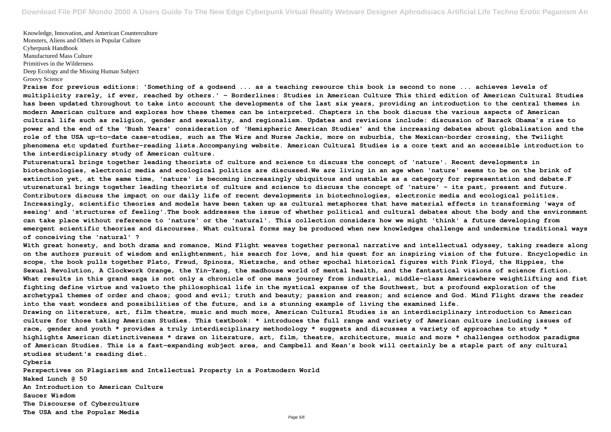Knowledge, Innovation, and American Counterculture Monsters, Aliens and Others in Popular Culture Cyberpunk Handbook Manufactured Mass Culture Primitives in the Wilderness Deep Ecology and the Missing Human Subject Groovy Science

**Praise for previous editions: 'Something of a godsend ... as a teaching resource this book is second to none ... achieves levels of multiplicity rarely, if ever, reached by others.' - Borderlines: Studies in American Culture This third edition of American Cultural Studies has been updated throughout to take into account the developments of the last six years, providing an introduction to the central themes in modern American culture and explores how these themes can be interpreted. Chapters in the book discuss the various aspects of American cultural life such as religion, gender and sexuality, and regionalism. Updates and revisions include: discussion of Barack Obama's rise to power and the end of the 'Bush Years' consideration of 'Hemispheric American Studies' and the increasing debates about globalisation and the role of the USA up-to-date case-studies, such as The Wire and Nurse Jackie, more on suburbia, the Mexican-border crossing, the Twilight phenomena etc updated further-reading lists.Accompanying website. American Cultural Studies is a core text and an accessible introduction to the interdisciplinary study of American culture.**

**Futurenatural brings together leading theorists of culture and science to discuss the concept of 'nature'. Recent developments in biotechnologies, electronic media and ecological politics are discussed.We are living in an age when 'nature' seems to be on the brink of extinction yet, at the same time, 'nature' is becoming increasingly ubiquitous and unstable as a category for representation and debate.F uturenatural brings together leading theorists of culture and science to discuss the concept of 'nature' - its past, present and future. Contributors discuss the impact on our daily life of recent developments in biotechnologies, electronic media and ecological politics. Increasingly, scientific theories and models have been taken up as cultural metaphores that have material effects in transforming 'ways of seeing' and 'structures of feeling'.The book addresses the issue of whether political and cultural debates about the body and the environment can take place without reference to 'nature' or the 'natural'. This collection considers how we might 'think' a future developing from emergent scientific theories and discourses. What cultural forms may be produced when new knowledges challenge and undermine traditional ways of conceiving the 'natural' ?**

**With great honesty, and both drama and romance, Mind Flight weaves together personal narrative and intellectual odyssey, taking readers along on the authors pursuit of wisdom and enlightenment, his search for love, and his quest for an inspiring vision of the future. Encyclopedic in scope, the book pulls together Plato, Freud, Spinoza, Nietzsche, and other epochal historical figures with Pink Floyd, the Hippies, the Sexual Revolution, A Clockwork Orange, the Yin-Yang, the madhouse world of mental health, and the fantastical visions of science fiction. What results in this grand saga is not only a chronicle of one mans journey from industrial, middle-class Americawhere weightlifting and fist fighting define virtue and valueto the philosophical life in the mystical expanse of the Southwest, but a profound exploration of the archetypal themes of order and chaos; good and evil; truth and beauty; passion and reason; and science and God. Mind Flight draws the reader into the vast wonders and possibilities of the future, and is a stunning example of living the examined life. Drawing on literature, art, film theatre, music and much more, American Cultural Studies is an interdisciplinary introduction to American culture for those taking American Studies. This textbook: \* introduces the full range and variety of American culture including issues of race, gender and youth \* provides a truly interdisciplinary methodology \* suggests and discusses a variety of approaches to study \* highlights American distinctiveness \* draws on literature, art, film, theatre, architecture, music and more \* challenges orthodox paradigms of American Studies. This is a fast-expanding subject area, and Campbell and Kean's book will certainly be a staple part of any cultural studies student's reading diet.**

**Cyberia Perspectives on Plagiarism and Intellectual Property in a Postmodern World Naked Lunch @ 50 An Introduction to American Culture Saucer Wisdom The Discourse of Cyberculture The USA and the Popular Media**